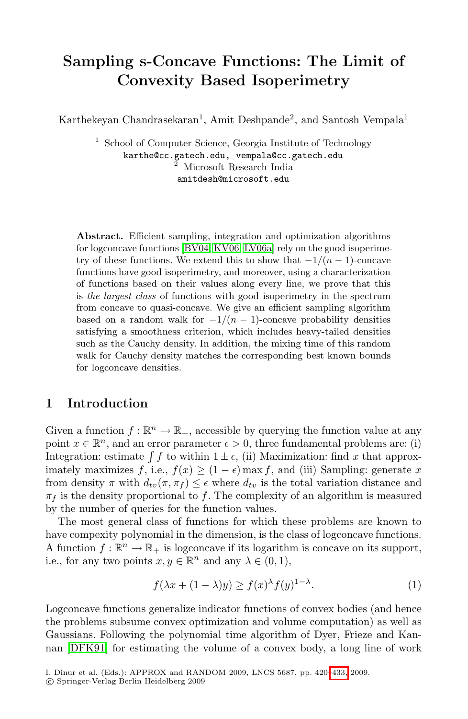# **Sampling s-Concave Functions: The Limit of Convexity Based Isoperimetry**

Karthekeyan Chandrasekaran<sup>1</sup>, Amit Deshpande<sup>2</sup>, and Santosh Vempala<sup>1</sup>

<sup>1</sup> [Sch](#page-12-0)[ool of C](#page-13-0)[omput](#page-13-1)er Science, Georgia Institute of Technology karthe@cc.gatech.edu, vempala@cc.gatech.edu  $^{\overline{2}}$  Microsoft Research India amitdesh@microsoft.edu

**Abstract.** Efficient sampling, integration and optimization algorithms for logconcave functions [BV04, KV06, LV06a] rely on the good isoperimetry of these functions. We extend this to show that  $-1/(n-1)$ -concave functions have good isoperimetry, and moreover, using a characterization of functions based on their values along every line, we prove that this is *the largest class* of functions with good isoperimetry in the spectrum from concave to quasi-concave. We give an efficient sampling algorithm based on a random walk for  $-1/(n-1)$ -concave probability densities satisfying a smoothness criterion, which includes heavy-tailed densities such as the Cauchy density. In addition, the mixing time of this random walk for Cauchy density matches the corresponding best known bounds for logconcave densities.

## **1 Introduction**

Given a function  $f : \mathbb{R}^n \to \mathbb{R}_+$ , accessible by querying the function value at any point  $x \in \mathbb{R}^n$ , and an error parameter  $\epsilon > 0$ , three fundamental problems are: (i) Integration: estimate  $\int f$  to within  $1 \pm \epsilon$ , (ii) Maximization: find x that approximately maximizes f, i.e.,  $f(x) \geq (1 - \epsilon) \max f$ , and (iii) Sampling: generate x from density  $\pi$  with  $d_{tv}(\pi, \pi_f) \leq \epsilon$  where  $d_{tv}$  is the total variation distance and  $\pi_f$  is the density proportional to f. The complexity of an algorithm is measured by the number of queries for the function values.

The most general class of functions for which these problems are known to have compexity polynomial in the dimension, is the class of logconcave functions. A function  $f : \mathbb{R}^n \to \mathbb{R}_+$  is logconcave if its logarithm is concave on its support, i.e., for any two points  $x, y \in \mathbb{R}^n$  and any  $\lambda \in (0, 1)$ ,

$$
f(\lambda x + (1 - \lambda)y) \ge f(x)^{\lambda} f(y)^{1 - \lambda}.
$$
 (1)

Logconcave functions generalize indicator functions of convex bodies (and hence the problems subsume convex optimization and volume computation) as well as Gaussians. Following the polynomial time algorithm of Dyer, Frieze and Kannan [DFK91] for estimating the volume of a convex body, a long line of work

I. Dinur et al. (Eds.): APPROX and RANDOM 2009, LNCS 5687, pp. 420–433, 2009.

<sup>-</sup>c Springer-Verlag Berlin Heidelberg 2009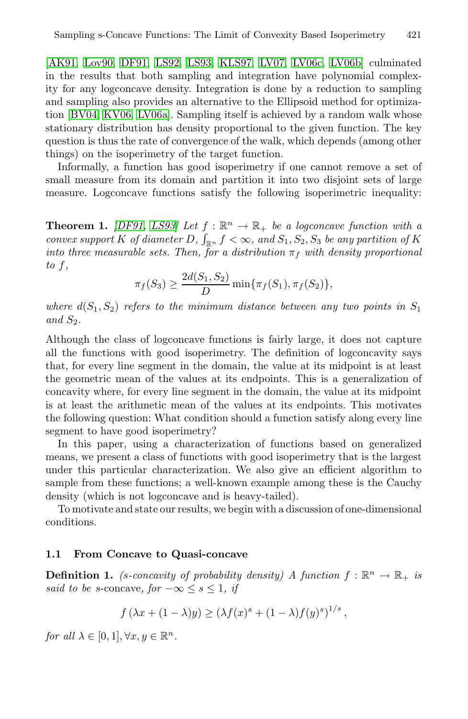[AK91, Lov90, DF91, LS92, LS93, KLS97, LV07, LV06c, LV06b] culminated in the results that both sampling and integration have polynomial complexity for any logconcave density. Integration is done by a reduction to sampling and sampling also provides an alternative to the Ellipsoid method for optimization [BV04, KV06, LV06a]. Sampling itself is achieved by a random walk whose [sta](#page-12-1)[tionar](#page-13-3)y distribution has density proportional to the given function. The key question is thus the rate of convergence of the walk, which depends (among other things) on the isoperimetry of the target function.

Informally, a function has good isoperimetry if one cannot remove a set of small measure from its domain and partition it into two disjoint sets of large measure. Logconcave functions satisfy the following isoperimetric inequality:

**Theorem 1.** *[DF91, LS93] Let*  $f : \mathbb{R}^n \to \mathbb{R}_+$  *be a logconcave function with a convex support* K *of diameter* D,  $\int_{\mathbb{R}^n} f < \infty$ , and  $S_1, S_2, S_3$  be any partition of K *into three measurable sets. Then, for a distribution*  $\pi_f$  *with density proportional to* f*,*

$$
\pi_f(S_3) \ge \frac{2d(S_1, S_2)}{D} \min{\{\pi_f(S_1), \pi_f(S_2)\}},
$$

*where*  $d(S_1, S_2)$  *refers to the minimum distance between any two points in*  $S_1$ *and*  $S_2$ *.* 

Although the class of logconcave functions is fairly large, it does not capture all the functions with good isoperimetry. The definition of logconcavity says that, for every line segment in the domain, the value at its midpoint is at least the geometric mean of the values at its endpoints. This is a generalization of concavity where, for every line segment in the domain, the value at its midpoint is at least the arithmetic mean of the values at its endpoints. This motivates the following question: What condition should a function satisfy along every line segment to have good isoperimetry?

In this paper, using a characterization of functions based on generalized means, we present a class of functions with good isoperimetry that is the largest under this particular characterization. We also give an efficient algorithm to sample from these functions; a well-known example among these is the Cauchy density (which is not logconcave and is heavy-tailed).

To motivate and state our results, we begin with a discussion of one-dimensional conditions.

## **1.1 From Concave to Quasi-concave**

**Definition 1.** *(s-concavity of probability density)* A function  $f : \mathbb{R}^n \to \mathbb{R}_+$  *is said to be s*-concave,  $for -\infty \leq s \leq 1$ , *if* 

$$
f(\lambda x + (1 - \lambda)y) \ge (\lambda f(x)^{s} + (1 - \lambda)f(y)^{s})^{1/s},
$$

*for all*  $\lambda \in [0, 1], \forall x, y \in \mathbb{R}^n$ .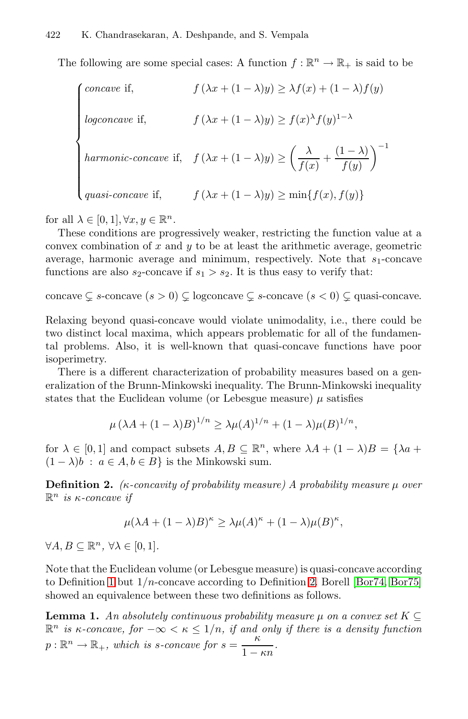The following are some special cases: A function  $f : \mathbb{R}^n \to \mathbb{R}_+$  is said to be

| <i>concave</i> if,          | $f(\lambda x + (1 - \lambda)y) \geq \lambda f(x) + (1 - \lambda)f(y)$                                                        |
|-----------------------------|------------------------------------------------------------------------------------------------------------------------------|
| logconcave if,              | $f(\lambda x + (1 - \lambda)y) \ge f(x)^{\lambda} f(y)^{1 - \lambda}$                                                        |
|                             | harmonic-concave if, $f(\lambda x + (1 - \lambda)y) \ge \left(\frac{\lambda}{f(x)} + \frac{(1 - \lambda)}{f(y)}\right)^{-1}$ |
| $\bigcup quasi-concave$ if, | $f(\lambda x + (1 - \lambda)y) \ge \min\{f(x), f(y)\}\$                                                                      |

for all  $\lambda \in [0,1], \forall x, y \in \mathbb{R}^n$ .

These conditions are progressively weaker, restricting the function value at a convex combination of  $x$  and  $y$  to be at least the arithmetic average, geometric average, harmonic average and minimum, respectively. Note that  $s_1$ -concave functions are also  $s_2$ -concave if  $s_1 > s_2$ . It is thus easy to verify that:

concave  $\subsetneq$  s-concave  $(s > 0) \subsetneq$  logconcave  $\subsetneq$  s-concave  $(s < 0) \subsetneq$  quasi-concave.

Relaxing beyond quasi-concave would violate unimodality, i.e., there could be two distinct local maxima, which appears problematic for all of the fundamental problems. Also, it is well-known that quasi-concave functions have poor isoperimetry.

<span id="page-2-0"></span>There is a different characterization of probability measures based on a generalization of the Brunn-Minkowski inequality. The Brunn-Minkowski inequality states that the Euclidean volume (or Lebesgue measure)  $\mu$  satisfies

$$
\mu (\lambda A + (1 - \lambda)B)^{1/n} \ge \lambda \mu(A)^{1/n} + (1 - \lambda)\mu(B)^{1/n},
$$

for  $\lambda \in [0,1]$  and compact subsets  $A, B \subseteq \mathbb{R}^n$ , where  $\lambda A + (1 - \lambda)B = {\lambda a + \lambda b}$  $(1 - \lambda)b$ :  $a \in A, b \in B$  is the Minkowski sum.

**Definition 2.** *(*κ*-concavity of proba[bil](#page-2-0)ity mea[sure\)](#page-12-2) [A](#page-12-2) [probabi](#page-12-3)lity measure* μ *over*  $\mathbb{R}^n$  *is κ-concave if* 

<span id="page-2-1"></span>
$$
\mu(\lambda A + (1 - \lambda)B)^{\kappa} \ge \lambda \mu(A)^{\kappa} + (1 - \lambda)\mu(B)^{\kappa},
$$

 $\forall A, B \subseteq \mathbb{R}^n$ ,  $\forall \lambda \in [0, 1]$ .

Note that the Euclidean volume (or Lebesgue measure) is quasi-concave according to Definition 1 but  $1/n$ -concave according to Definition 2. Borell [Bor74, Bor75] showed an equivalence between these two definitions as follows.

**Lemma 1.** An absolutely continuous probability measure  $\mu$  on a convex set  $K \subseteq$  $\mathbb{R}^n$  *is*  $\kappa$ -concave, for  $-\infty < \kappa \leq 1/n$ , if and only if there is a density function  $p : \mathbb{R}^n \to \mathbb{R}_+$ , which is *s*-concave for  $s = \frac{\kappa}{1 - \kappa n}$ .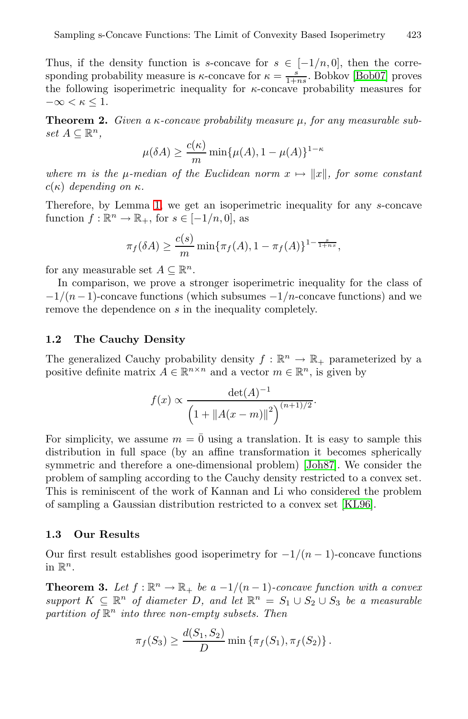Thus, if the density function is s-concave for  $s \in [-1/n, 0]$ , then the corresponding probability measure is  $\kappa$ -concave for  $\kappa = \frac{s}{1+ns}$ . Bobkov [Bob07] proves the following isoperimetric inequality for  $\kappa$ -concave probability measures for  $-\infty < \kappa \leq 1$  $-\infty < \kappa \leq 1$  $-\infty < \kappa \leq 1$ .

**Theorem 2.** *Given a* κ-concave probability measure μ, for any measurable sub $set A ⊂ ℝ<sup>n</sup>$ ,

$$
\mu(\delta A) \ge \frac{c(\kappa)}{m} \min\{\mu(A), 1 - \mu(A)\}^{1 - \kappa}
$$

where *m* is the  $\mu$ -median of the Euclidean norm  $x \mapsto ||x||$ , for some constant  $c(\kappa)$  *depending on*  $\kappa$ .

<span id="page-3-0"></span>Therefore, by Lemma 1, we get an isoperimetric inequality for any s-concave function  $f : \mathbb{R}^n \to \mathbb{R}_+$ , for  $s \in [-1/n, 0]$ , as

$$
\pi_f(\delta A) \ge \frac{c(s)}{m} \min \{ \pi_f(A), 1 - \pi_f(A) \}^{1 - \frac{s}{1 + ns}},
$$

for any measurable set  $A \subseteq \mathbb{R}^n$ .

In comparison, we prove a stronger isoperimetric inequality for the class of  $-1/(n-1)$ -concave functions (which subsumes  $-1/n$ -concave functions) and we remove the dependence on s in the inequality completely.

#### **1.2 The Cauchy Density**

The generalized Cauchy probabilit[y densit](#page-12-4)y  $f : \mathbb{R}^n \to \mathbb{R}_+$  parameterized by a positive definite matrix  $A \in \mathbb{R}^{n \times n}$  and a vector  $m \in \mathbb{R}^n$ , is given by

$$
f(x) \propto \frac{\det(A)^{-1}}{\left(1 + \|A(x-m)\|^2\right)^{(n+1)/2}}.
$$

For simplicity, we assume  $m = \overline{0}$  using a translation. It is easy to sample this distribution in full space (by an affine transformation it becomes spherically symmetric and therefore a one-dimensional problem) [Joh87]. We consider the problem of sampling according to the Cauchy density restricted to a convex set. This is reminiscent of the work of Kannan and Li who considered the problem of sampling a Gaussian distribution restricted to a convex set [KL96].

#### **1.3 Our Results**

Our first result establishes good isoperimetry for  $-1/(n-1)$ -concave functions in  $\mathbb{R}^n$ .

**Theorem 3.** Let  $f : \mathbb{R}^n \to \mathbb{R}_+$  be a  $-1/(n-1)$ *-concave function with a convex support*  $K \subseteq \mathbb{R}^n$  *of diameter* D, and let  $\mathbb{R}^n = S_1 \cup S_2 \cup S_3$  *be a measurable partition of*  $\mathbb{R}^n$  *into three non-empty subsets. Then* 

$$
\pi_f(S_3) \ge \frac{d(S_1, S_2)}{D} \min \{ \pi_f(S_1), \pi_f(S_2) \}.
$$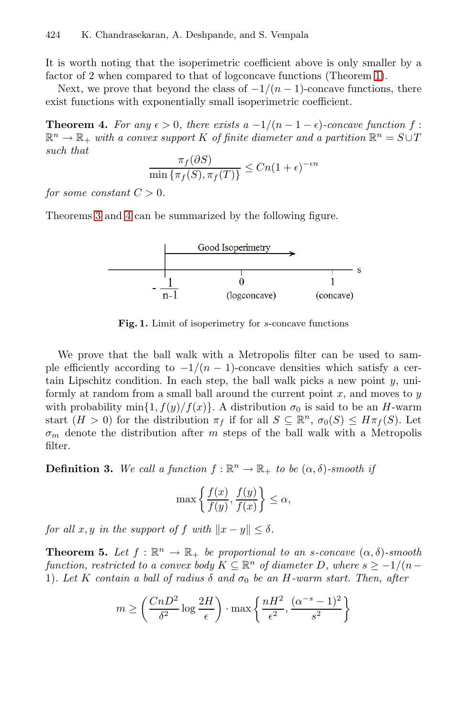<span id="page-4-0"></span>It is worth noting that the isoperimetric coefficient above is only smaller by a factor of 2 when compared to that of logconcave functions (Theorem 1).

Next, we prove that beyond the class of  $-1/(n-1)$ -concave functions, there exist functions with exponentially small isoperimetric coefficient.

**Theorem 4.** For any  $\epsilon > 0$ , there exists a  $-1/(n-1-\epsilon)$ -concave function f:  $\mathbb{R}^n \to \mathbb{R}_+$  *with a convex support* K of finite diameter and a partition  $\mathbb{R}^n = S \cup T$  $such that$ 

$$
\frac{\pi_f(\partial S)}{\min\left\{\pi_f(S), \pi_f(T)\right\}} \le Cn(1+\epsilon)^{-\epsilon n}
$$

*for some constant*  $C > 0$ *.* 

Theorems 3 and 4 can be summarized by the following figure.



**Fig. 1.** Limit of isoperimetry for *<sup>s</sup>*-concave functions

We prove that the ball walk with a Metropolis filter can be used to sample efficiently according to  $-1/(n-1)$ -concave densities which satisfy a certain Lipschitz condition. In each step, the ball walk picks a new point  $y$ , uniformly at random from a small ball around the current point  $x$ , and moves to  $y$ with probability min $\{1, f(y)/f(x)\}\$ . A distribution  $\sigma_0$  is said to be an H-warm start  $(H > 0)$  for the distribution  $\pi_f$  if for all  $S \subseteq \mathbb{R}^n$ ,  $\sigma_0(S) \leq H\pi_f(S)$ . Let  $\sigma_m$  denote the distribution after m steps of the ball walk with a Metropolis filter.

<span id="page-4-1"></span>**Definition 3.** We call a function  $f : \mathbb{R}^n \to \mathbb{R}_+$  to be  $(\alpha, \delta)$ -smooth if

$$
\max\left\{\frac{f(x)}{f(y)},\frac{f(y)}{f(x)}\right\} \le \alpha,
$$

*for all*  $x, y$  *in the support of*  $f$  *with*  $||x - y|| \le \delta$ .

**Theorem 5.** Let  $f : \mathbb{R}^n \to \mathbb{R}_+$  be proportional to an s-concave  $(\alpha, \delta)$ -smooth *function, restricted to a convex body*  $K \subseteq \mathbb{R}^n$  *of diameter* D, where  $s \geq -1/(n-1)$ 1)*. Let* K *contain a ball of radius*  $\delta$  *and*  $\sigma_0$  *be an* H-warm start. Then, after

$$
m \ge \left(\frac{CnD^2}{\delta^2} \log \frac{2H}{\epsilon}\right) \cdot \max\left\{\frac{nH^2}{\epsilon^2}, \frac{(\alpha^{-s} - 1)^2}{s^2}\right\}
$$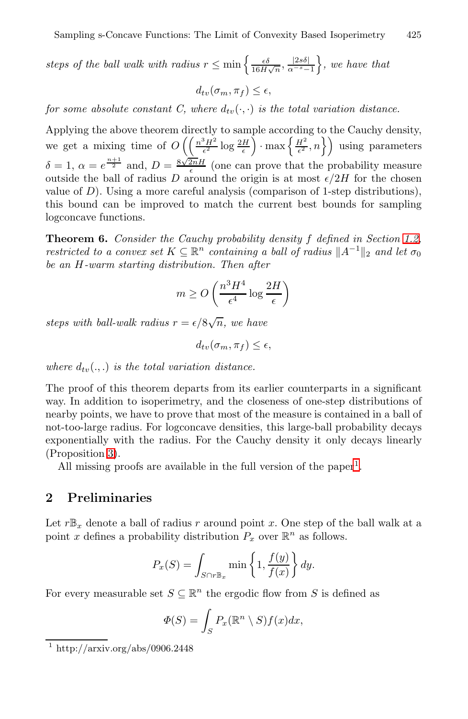steps of the ball walk with radius  $r \leq \min\left\{\frac{\epsilon \delta}{16H\sqrt{n}}, \frac{|2s\delta|}{\alpha^{-s}-1}\right\}$ *, we have that*

$$
d_{tv}(\sigma_m, \pi_f) \le \epsilon,
$$

<span id="page-5-0"></span>*for some absolute constant C, where*  $d_{tv}(\cdot, \cdot)$  *is the total variation distance.* 

Applying the above theorem directly to sample according to the Cauchy density, we get a mixing time of  $O\left(\left(\frac{n^3H^2}{\epsilon^2}\log\frac{2H}{\epsilon}\right)\cdot\max\left\{\frac{H^2}{\epsilon^2},n\right\}\right)$  using parameters $\delta = 1, \ \alpha = e^{\frac{n+1}{2}}$  and,  $D = \frac{8\sqrt{2nH}}{\epsilon}$  (one can prove that the probability measure outside the ball of radius D around the origin is at most  $\epsilon/2H$  for the chosen value of  $D$ ). Using a more careful analysis (comparison of 1-step distributions), this bound can be improved to match the current best bounds for sampling logconcave functions.

**Theorem 6.** *Consider the Cauchy probability density* f *defined in Section 1.2, restricted to a convex set*  $K \subseteq \mathbb{R}^n$  *containing a ball of radius*  $||A^{-1}||_2$  *and let*  $\sigma_0$ *be an* H*-warm starting distribution. Then after*

$$
m \geq O\left(\frac{n^3H^4}{\epsilon^4}\log\frac{2H}{\epsilon}\right)
$$

steps with ball-walk radius  $r = \epsilon/8\sqrt{n}$ , we have

$$
d_{tv}(\sigma_m, \pi_f) \le \epsilon,
$$

where  $d_{tv}(.,.)$  *is the total variation distance.* 

The proof of this theorem departs from its earlier counterparts in a significant way. In addition to isoperimetry, and the closeness of one-step distributions of nearby points, we have to prove that most of the measure is contained in a ball of not-too-large radius. For logconcave densities, this large-ball probability decays exponentially with the radius. For the Cauchy density it only decays linearly (Proposition 3).

All missing proofs are available in the full version of the paper<sup>1</sup>.

## **2 Preliminaries**

Let  $r\mathbb{B}_x$  denote a ball of radius r around point x. One step of the ball walk at a point x defines a probability distribution  $P_x$  over  $\mathbb{R}^n$  as follows.

$$
P_x(S) = \int_{S \cap r \mathbb{B}_x} \min\left\{1, \frac{f(y)}{f(x)}\right\} dy.
$$

For every measurable set  $S \subseteq \mathbb{R}^n$  the ergodic flow from S is defined as

$$
\Phi(S) = \int_S P_x(\mathbb{R}^n \setminus S) f(x) dx,
$$

 $\frac{1 \text{ http://arxiv.org/abs/0906.2448}}{1 \text{ http://arxiv.org/abs/0906.2448}}$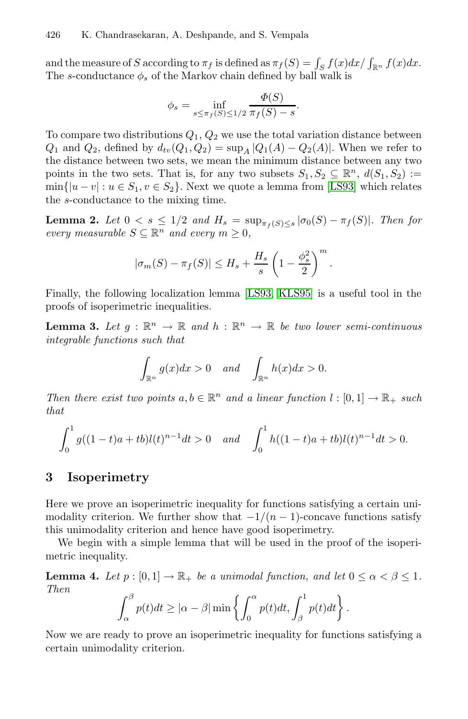and the measure of S according to  $\pi_f$  is defined as  $\pi_f(S) = \int_S f(x) dx / \int_{\mathbb{R}^n} f(x) dx$ . The s-conductance  $\phi_s$  of the Markov cha[in](#page-13-3) [defi](#page-13-3)ned by ball walk is

<span id="page-6-1"></span>
$$
\phi_s = \inf_{s \le \pi_f(S) \le 1/2} \frac{\Phi(S)}{\pi_f(S) - s}.
$$

To compare two distributions  $Q_1, Q_2$  we use the total variation distance between  $Q_1$  and  $Q_2$ , defined by  $d_{tv}(Q_1, Q_2) = \sup_{A} |Q_1(A) - Q_2(A)|$ . When we refer to the distance between two sets, we mean the minimum distance between any two points in the two sets. That is, for any two subsets  $S_1, S_2 \subseteq \mathbb{R}^n$ ,  $d(S_1, S_2) :=$  $\min\{|u-v|: u \in S_1, v \in S_2\}.$  [Next we](#page-13-4) quote a lemma from [LS93] which relates the s-conductance to t[he](#page-13-3) [mix](#page-13-3)ing time.

**Lemma 2.** Let  $0 < s \le 1/2$  and  $H_s = \sup_{\pi_f(S) \le s} |\sigma_0(S) - \pi_f(S)|$ . Then for *every measurable*  $S \subseteq \mathbb{R}^n$  *and every*  $m \geq 0$ *,* 

$$
|\sigma_m(S) - \pi_f(S)| \leq H_s + \frac{H_s}{s} \left(1 - \frac{\phi_s^2}{2}\right)^m.
$$

Finally, the following localization lemma [LS93, KLS95] is a useful tool in the proofs of isoperimetric inequalities.

**Lemma 3.** Let  $g : \mathbb{R}^n \to \mathbb{R}$  and  $h : \mathbb{R}^n \to \mathbb{R}$  be two lower semi-continuous *integrable functions such that*

$$
\int_{\mathbb{R}^n} g(x)dx > 0 \quad and \quad \int_{\mathbb{R}^n} h(x)dx > 0.
$$

*Then there exist two points*  $a, b \in \mathbb{R}^n$  *and a linear function*  $l : [0, 1] \to \mathbb{R}_+$  *such that*

$$
\int_0^1 g((1-t)a + tb)l(t)^{n-1}dt > 0 \quad and \quad \int_0^1 h((1-t)a + tb)l(t)^{n-1}dt > 0.
$$

# **3 Isoperimetry**

Here we prove an isoperimetric inequality for functions satisfying a certain unimodality criterion. We further show that  $-1/(n-1)$ -concave functions satisfy this unimodality criterion and hence have good isoperimetry.

We begin with a simple lemma that will be used in the proof of the isoperimetric inequality.

**Lemma 4.** *Let*  $p : [0,1] \to \mathbb{R}_+$  *be a unimodal function, and let*  $0 \le \alpha < \beta \le 1$ *. Then*

<span id="page-6-0"></span>
$$
\int_{\alpha}^{\beta} p(t)dt \geq |\alpha - \beta| \min \left\{ \int_{0}^{\alpha} p(t)dt, \int_{\beta}^{1} p(t)dt \right\}.
$$

Now we are ready to prove an isoperimetric inequality for functions satisfying a certain unimodality criterion.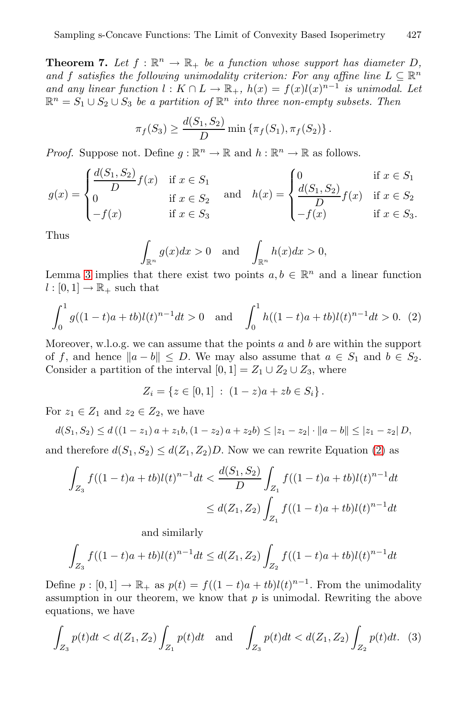**Theorem 7.** Let  $f : \mathbb{R}^n \to \mathbb{R}_+$  be a function whose support has diameter D, and f satisfies the following unimodality criterion: For any affine line  $L \subseteq \mathbb{R}^n$ *and any linear function*  $l : K \cap L \to \mathbb{R}_+$ ,  $h(x) = f(x)l(x)^{n-1}$  *is unimodal. Let*  $\mathbb{R}^n = S_1 \cup S_2 \cup S_3$  *be a partition of*  $\mathbb{R}^n$  *into three non-empty subsets. Then* 

$$
\pi_f(S_3) \ge \frac{d(S_1, S_2)}{D} \min \{ \pi_f(S_1), \pi_f(S_2) \}.
$$

*Proof.* Suppose not. Define  $g : \mathbb{R}^n \to \mathbb{R}$  and  $h : \mathbb{R}^n \to \mathbb{R}$  as follows.

$$
g(x) = \begin{cases} \frac{d(S_1, S_2)}{D} f(x) & \text{if } x \in S_1 \\ 0 & \text{if } x \in S_2 \\ -f(x) & \text{if } x \in S_3 \end{cases} \text{ and } h(x) = \begin{cases} 0 & \text{if } x \in S_1 \\ \frac{d(S_1, S_2)}{D} f(x) & \text{if } x \in S_2 \\ -f(x) & \text{if } x \in S_3. \end{cases}
$$

Thus

<span id="page-7-0"></span>
$$
\int_{\mathbb{R}^n} g(x)dx > 0 \quad \text{and} \quad \int_{\mathbb{R}^n} h(x)dx > 0,
$$

Lemma 3 implies that there exist two points  $a, b \in \mathbb{R}^n$  and a linear function  $l : [0, 1] \rightarrow \mathbb{R}_+$  such that

$$
\int_0^1 g((1-t)a + tb)l(t)^{n-1}dt > 0 \text{ and } \int_0^1 h((1-t)a + tb)l(t)^{n-1}dt > 0. (2)
$$

Moreover, w.l.o.g. we c[an](#page-7-0) assume that the points  $a$  and  $b$  are within the support of f, and hence  $||a - b|| \le D$ . We may also assume that  $a \in S_1$  and  $b \in S_2$ . Consider a partition of the interval  $[0, 1] = Z_1 \cup Z_2 \cup Z_3$ , where

$$
Z_i = \{ z \in [0,1] : (1-z)a + zb \in S_i \}.
$$

For  $z_1 \in Z_1$  and  $z_2 \in Z_2$ , we have

$$
d(S_1, S_2) \le d((1 - z_1) a + z_1 b, (1 - z_2) a + z_2 b) \le |z_1 - z_2| \cdot ||a - b|| \le |z_1 - z_2| D,
$$
  
and therefore  $d(S_1, S_2) \le d(Z_1, Z_2) D$ . Now we can rewrite Equation (2) as

$$
\int_{Z_3} f((1-t)a + tb)l(t)^{n-1}dt < \frac{d(S_1, S_2)}{D} \int_{Z_1} f((1-t)a + tb)l(t)^{n-1}dt
$$
  

$$
\leq d(Z_1, Z_2) \int_{Z_1} f((1-t)a + tb)l(t)^{n-1}dt
$$

and similarly

$$
\int_{Z_3} f((1-t)a + tb)l(t)^{n-1}dt \le d(Z_1, Z_2) \int_{Z_2} f((1-t)a + tb)l(t)^{n-1}dt
$$

Define  $p : [0,1] \to \mathbb{R}_+$  as  $p(t) = f((1-t)a + tb)l(t)^{n-1}$ . From the unimodality assumption in our theorem, we know that  $p$  is unimodal. Rewriting the above equations, we have

$$
\int_{Z_3} p(t)dt < d(Z_1, Z_2) \int_{Z_1} p(t)dt \quad \text{and} \quad \int_{Z_3} p(t)dt < d(Z_1, Z_2) \int_{Z_2} p(t)dt. \tag{3}
$$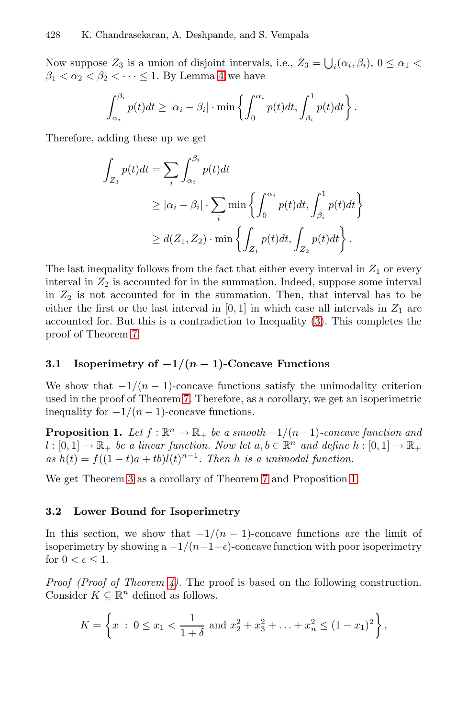Now suppose  $Z_3$  is a union of disjoint intervals, i.e.,  $Z_3 = \bigcup_i (\alpha_i, \beta_i), 0 \le \alpha_1 <$  $\beta_1 < \alpha_2 < \beta_2 < \cdot \cdot \cdot \leq 1$  By Lemma 4 we have

$$
\int_{\alpha_i}^{\beta_i} p(t)dt \geq |\alpha_i - \beta_i| \cdot \min \left\{ \int_0^{\alpha_i} p(t)dt, \int_{\beta_i}^1 p(t)dt \right\}.
$$

Therefore, adding these up we get

$$
\int_{Z_3} p(t)dt = \sum_i \int_{\alpha_i}^{\beta_i} p(t)dt
$$
  
\n
$$
\geq |\alpha_i - \beta_i| \cdot \sum_i \min \left\{ \int_0^{\alpha_i} p(t)dt, \int_{\beta_i}^1 p(t)dt \right\}
$$
  
\n
$$
\geq d(Z_1, Z_2) \cdot \min \left\{ \int_{Z_1} p(t)dt, \int_{Z_2} p(t)dt \right\}.
$$

<span id="page-8-0"></span>The last inequality follows from the fact that either every interval in  $Z_1$  or every interval in  $Z_2$  is accounted for in the summation. Indeed, suppose some interval in  $Z_2$  is [no](#page-6-0)t accounted for in the summation. Then, that interval has to be either the first or the last interval in  $[0, 1]$  in which case all intervals in  $Z_1$  are accounted for. But this is a contradiction to Inequality (3). This completes the proof of Theorem 7.

## **3.1 Isoperimetry of** *−***1***/***(***n −* **1)-Concave Functions**

We [s](#page-8-0)how that  $-1/(n-1)$ -concave functions satisfy the unimodality criterion used in the proof of Theorem 7. Therefore, as a corollary, we get an isoperimetric inequality for  $-1/(n-1)$ -concave functions.

**Proposition 1.** *Let*  $f : \mathbb{R}^n \to \mathbb{R}_+$  *be a smooth*  $-1/(n-1)$ *-concave function and*  $l : [0, 1] \to \mathbb{R}_+$  *be a linear function. Now let*  $a, b \in \mathbb{R}^n$  *and define*  $h : [0, 1] \to \mathbb{R}_+$  $as h(t) = f((1-t)a + tb)l(t)^{n-1}$ . Then h is a unimodal function.

We ge[t T](#page-4-0)heorem 3 as a corollary of Theorem 7 and Proposition 1.

#### **3.2 Lower Bound for Isoperimetry**

In this section, we show that  $-1/(n-1)$ -concave functions are the limit of isoperimetry by showing a  $-1/(n-1-\epsilon)$ -concave function with poor isoperimetry for  $0 < \epsilon \leq 1$ .

*Proof (Proof of Theorem 4).* The proof is based on the following construction. Consider  $K \subseteq \mathbb{R}^n$  defined as follows.

$$
K = \left\{ x \; : \; 0 \le x_1 < \frac{1}{1+\delta} \text{ and } x_2^2 + x_3^2 + \ldots + x_n^2 \le (1-x_1)^2 \right\},
$$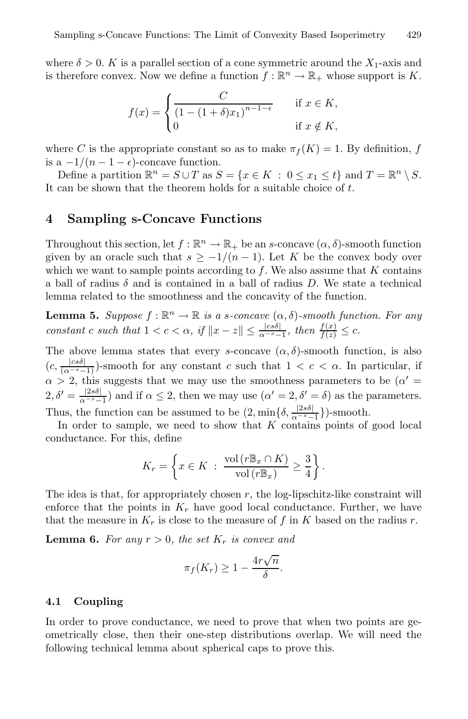where  $\delta > 0$ . K is a parallel section of a cone symmetric around the  $X_1$ -axis and is therefore convex. Now we define a function  $f : \mathbb{R}^n \to \mathbb{R}_+$  whose support is K.

$$
f(x) = \begin{cases} \frac{C}{(1 - (1 + \delta)x_1)^{n-1-\epsilon}} & \text{if } x \in K, \\ 0 & \text{if } x \notin K, \end{cases}
$$

where C is the appropriate constant so as to make  $\pi_f(K) = 1$ . By definition, f is a  $-1/(n-1-\epsilon)$ -concave function.

Define a partition  $\mathbb{R}^n = S \cup T$  as  $S = \{x \in K : 0 \le x_1 \le t\}$  and  $T = \mathbb{R}^n \setminus S$ . It can be shown that the theorem holds for a suitable choice of  $t$ .

# **4 Sampling s-Concave Functions**

Throughout this section, let  $f : \mathbb{R}^n \to \mathbb{R}_+$  be an s-concave  $(\alpha, \delta)$ -smooth function given by an oracle such that  $s \geq -1/(n-1)$ . Let K be the convex body over which we want to sample points according to  $f$ . We also assume that  $K$  contains a ball of radius  $\delta$  and is contained in a ball of radius D. We state a technical lemma related to the smoothness and the concavity of the function.

**Lemma 5.** *Suppose*  $f : \mathbb{R}^n \to \mathbb{R}$  *is a s-concave*  $(\alpha, \delta)$ *-smooth function. For any constant c such that*  $1 < c < \alpha$ , *if*  $||x - z|| \le \frac{|cs\delta|}{\alpha^{-s} - 1}$ , *then*  $\frac{f(x)}{f(z)} \le c$ .

The above lemma states that every s-concave  $(\alpha, \delta)$ -smooth function, is also  $(c, \frac{|cs\delta|}{(\alpha^{-s}-1)})$ -smooth for any constant c such that  $1 < c < \alpha$ . In particular, if  $\alpha > 2$ , this suggests that we may use the smoothness parameters to be  $(\alpha' =$  $2, \delta' = \frac{|2s\delta|}{\alpha^{-s}-1}$  and if  $\alpha \leq 2$ , then we may use  $(\alpha' = 2, \delta' = \delta)$  as the parameters. Thus, the function can be assumed to be  $(2, \min\{\delta, \frac{|2s\delta|}{\alpha^{-s}-1}\})$ -smooth.

In order to sample, we need to show that  $K$  contains points of good local conductance. For this, define

<span id="page-9-0"></span>
$$
K_r = \left\{ x \in K \; : \; \frac{\text{vol}(r \mathbb{B}_x \cap K)}{\text{vol}(r \mathbb{B}_x)} \ge \frac{3}{4} \right\}.
$$

The idea is that, for appropriately chosen  $r$ , the log-lipschitz-like constraint will enforce that the points in  $K_r$  have good local conductance. Further, we have that the measure in  $K_r$  is close to the measure of f in K based on the radius r.

**Lemma 6.** For any  $r > 0$ , the set  $K_r$  is convex and

$$
\pi_f(K_r) \ge 1 - \frac{4r\sqrt{n}}{\delta}.
$$

## **4.1 Coupling**

In order to prove conductance, we need to prove that when two points are geometrically close, then their one-step distributions overlap. We will need the following technical lemma about spherical caps to prove this.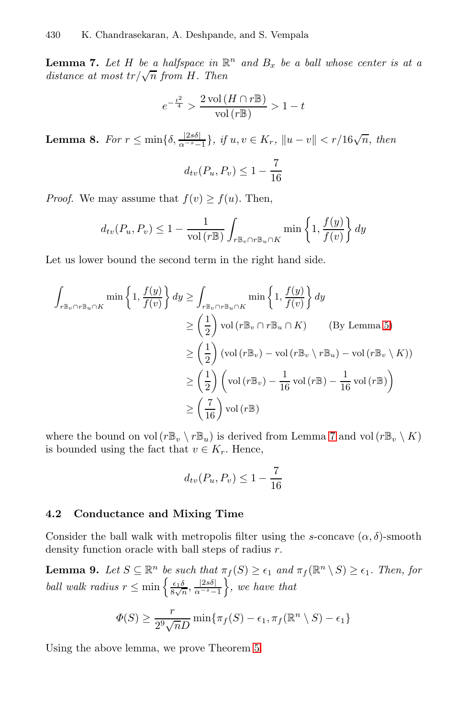<span id="page-10-0"></span>**Lemma 7.** Let H be a halfspace in  $\mathbb{R}^n$  and  $B_x$  be a ball whose center is at a *distance at most tr*/ $\sqrt{n}$  *from H*. *Then* 

$$
e^{-\frac{t^2}{4}}>\frac{2\operatorname{vol}\left(H\cap r\mathbb{B}\right)}{\operatorname{vol}\left(r\mathbb{B}\right)}>1-t
$$

**Lemma 8.** *For*  $r \le \min\{\delta, \frac{|2s\delta|}{\alpha^{-s}-1}\},\text{ if } u, v \in K_r, \|u-v\| < r/16\sqrt{n},\text{ then}$ 

$$
d_{tv}(P_u, P_v) \le 1 - \frac{7}{16}
$$

*Proof.* We may assume that  $f(v) \ge f(u)$ . Then,

$$
d_{tv}(P_u, P_v) \le 1 - \frac{1}{\text{vol}(r\mathbb{B})} \int_{r\mathbb{B}_v \cap r\mathbb{B}_u \cap K} \min\left\{1, \frac{f(y)}{f(v)}\right\} dy
$$

Let us lower bound the second term in the right hand side.

$$
\int_{r \mathbb{B}_{v} \cap r \mathbb{B}_{u} \cap K} \min \left\{ 1, \frac{f(y)}{f(v)} \right\} dy \ge \int_{r \mathbb{B}_{v} \cap r \mathbb{B}_{u} \cap K} \min \left\{ 1, \frac{f(y)}{f(v)} \right\} dy
$$
\n
$$
\ge \left( \frac{1}{2} \right) \text{vol} \left( r \mathbb{B}_{v} \cap r \mathbb{B}_{u} \cap K \right) \qquad \text{(By Lemma 5)}
$$
\n
$$
\ge \left( \frac{1}{2} \right) (\text{vol} \left( r \mathbb{B}_{v}) - \text{vol} \left( r \mathbb{B}_{v} \setminus r \mathbb{B}_{u} \right) - \text{vol} \left( r \mathbb{B}_{v} \setminus K \right))
$$
\n
$$
\ge \left( \frac{1}{2} \right) \left( \text{vol} \left( r \mathbb{B}_{v} \right) - \frac{1}{16} \text{vol} \left( r \mathbb{B} \right) - \frac{1}{16} \text{vol} \left( r \mathbb{B} \right) \right)
$$
\n
$$
\ge \left( \frac{7}{16} \right) \text{vol} \left( r \mathbb{B} \right)
$$

where the bound on vol  $(r\mathbb{B}_v \setminus r\mathbb{B}_u)$  is derived from Lemma 7 and vol  $(r\mathbb{B}_v \setminus K)$ is bounded using the fact that  $v \in K_r$ . Hence,

$$
d_{tv}(P_u, P_v) \le 1 - \frac{7}{16}
$$

# **4.2 Conductance and Mixing Time**

Consider the ball walk with metropolis filter using the s-concave  $(\alpha, \delta)$ -smooth density function oracle [wit](#page-4-1)h ball steps of radius r.

**Lemma 9.** *Let*  $S \subseteq \mathbb{R}^n$  *be such that*  $\pi_f(S) \geq \epsilon_1$  *and*  $\pi_f(\mathbb{R}^n \setminus S) \geq \epsilon_1$ *. Then, for ball walk radius*  $r \leq \min\left\{\frac{\epsilon_1 \delta}{8\sqrt{n}}, \frac{|2s\delta|}{\alpha^{-s}-1}\right\}$ *, we have that*

$$
\Phi(S) \ge \frac{r}{2^9 \sqrt{n} D} \min \{ \pi_f(S) - \epsilon_1, \pi_f(\mathbb{R}^n \setminus S) - \epsilon_1 \}
$$

Using the above lemma, we prove Theorem 5.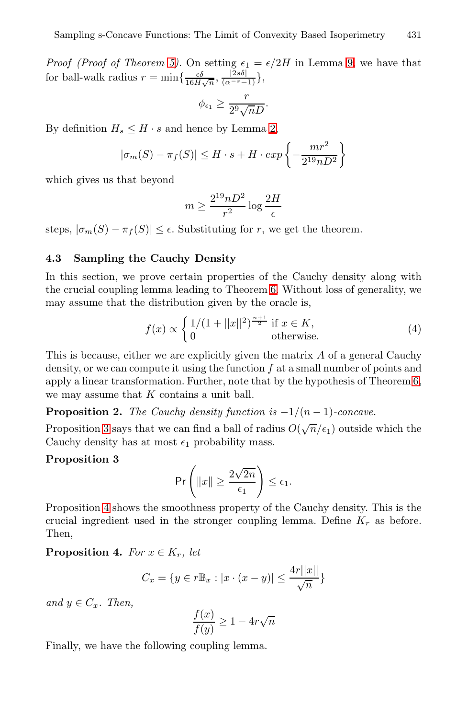*Proof (Proof of Theorem 5)*. On setting  $\epsilon_1 = \epsilon/2H$  in Lemma 9, we have that for ball-walk radius  $r = \min\left\{\frac{\epsilon \delta}{16H\sqrt{n}}, \frac{|2s\delta|}{(\alpha^{-s}-1)}\right\},$ 

$$
\phi_{\epsilon_1} \geq \frac{r}{2^9 \sqrt{n} D}.
$$

By definition  $H_s \leq H \cdot s$  and hence by Lemma 2,

$$
|\sigma_m(S) - \pi_f(S)| \le H \cdot s + H \cdot exp\left\{-\frac{mr^2}{2^{19}nD^2}\right\}
$$

which gives us that beyond

$$
m \ge \frac{2^{19}nD^2}{r^2} \log \frac{2H}{\epsilon}
$$

steps,  $|\sigma_m(S) - \pi_f(S)| \leq \epsilon$ . Substituting for r, we get the theorem.

# **4.3 Sampling the Cauchy Density**

In this section, we prove certain properties of the Cauch[y](#page-5-0) density along with the crucial coupling lemma leading to Theorem 6. Without loss of generality, we may assume that the distribution given by the oracle is,

$$
f(x) \propto \begin{cases} 1/(1+||x||^2)^{\frac{n+1}{2}} & \text{if } x \in K, \\ 0 & \text{otherwise.} \end{cases}
$$
 (4)

This is because, either we are explicitly given the matrix A of a general Cauchy density, or we can compute it using the function  $f$  at a small number of points and apply a linear transformation. Further, note that by the hypothesis of Theorem 6, we may assume that  $K$  contains a unit ball.

**Proposition 2.** *The Cauchy density function is*  $-1/(n-1)$ *-concave.* 

Proposition 3 says that we can find a ball of radius  $O(\sqrt{n}/\epsilon_1)$  outside which the Cauchy density has at most  $\epsilon_1$  probability mass.

#### **Proposition 3**

$$
\Pr\left(\|x\| \ge \frac{2\sqrt{2n}}{\epsilon_1}\right) \le \epsilon_1.
$$

Proposition 4 shows the smoothness property of the Cauchy density. This is the crucial ingredient used in the stronger coupling lemma. Define  $K_r$  as before. Then,

**Proposition 4.** *For*  $x \in K_r$ *, let* 

$$
C_x = \{ y \in r \mathbb{B}_x : |x \cdot (x - y)| \le \frac{4r||x||}{\sqrt{n}} \}
$$

*and*  $y \in C_x$ *. Then,* 

$$
\frac{f(x)}{f(y)} \ge 1 - 4r\sqrt{n}
$$

Finally, we have the following coupling lemma.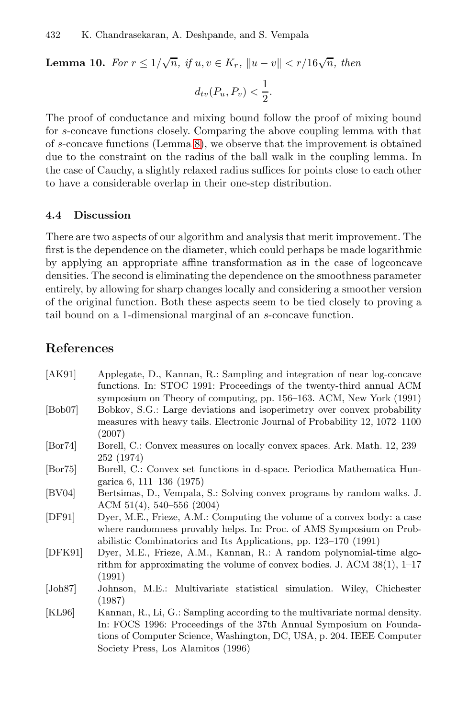**Lemma 10.** *For*  $r \le 1/\sqrt{n}$ , *if*  $u, v \in K_r$ ,  $||u - v|| < r/16\sqrt{n}$ , then

$$
d_{tv}(P_u, P_v) < \frac{1}{2}.
$$

The proof of conductance and mixing bound follow the proof of mixing bound for s-concave functions closely. Comparing the above coupling lemma with that of s-concave functions (Lemma 8), we observe that the improvement is obtained due to the constraint on the radius of the ball walk in the coupling lemma. In the case of Cauchy, a slightly relaxed radius suffices for points close to each other to have a considerable overlap in their one-step distribution.

#### **4.4 Discussion**

There are two aspects of our algorithm and analysis that merit improvement. The first is the dependence on the diameter, which could perhaps be made logarithmic by applying an appropriate affine transformation as in the case of logconcave densities. The second is eliminating the dependence on the smoothness parameter entirely, by allowing for sharp changes locally and considering a smoother version of the original function. Both these aspects seem to be tied closely to proving a tail bound on a 1-dimensional marginal of an s-concave function.

# <span id="page-12-2"></span>**References**

- <span id="page-12-3"></span><span id="page-12-0"></span>[AK91] Applegate, D., Kannan, R.: Sampling and integration of near log-concave functions. In: STOC 1991: Proceedings of the twenty-third annual ACM symposium on Theory of computing, pp. 156–163. ACM, New York (1991) [Bob07] Bobkov, S.G.: Large deviations and isoperimetry over convex probability
- <span id="page-12-1"></span>measures with heavy tails. Electronic Journal of Probability 12, 1072–1100 (2007)
- [Bor74] Borell, C.: Convex measures on locally convex spaces. Ark. Math. 12, 239– 252 (1974)
- [Bor75] Borell, C.: Convex set functions in d-space. Periodica Mathematica Hungarica 6, 111–136 (1975)
- <span id="page-12-4"></span>[BV04] Bertsimas, D., Vempala, S.: Solving convex programs by random walks. J. ACM 51(4), 540–556 (2004)
- <span id="page-12-5"></span>[DF91] Dyer, M.E., Frieze, A.M.: Computing the volume of a convex body: a case where randomness provably helps. In: Proc. of AMS Symposium on Probabilistic Combinatorics and Its Applications, pp. 123–170 (1991)
- [DFK91] Dyer, M.E., Frieze, A.M., Kannan, R.: A random polynomial-time algorithm for approximating the volume of convex bodies. J. ACM 38(1), 1–17 (1991)
- [Joh87] Johnson, M.E.: Multivariate statistical simulation. Wiley, Chichester (1987)
- [KL96] Kannan, R., Li, G.: Sampling according to the multivariate normal density. In: FOCS 1996: Proceedings of the 37th Annual Symposium on Foundations of Computer Science, Washington, DC, USA, p. 204. IEEE Computer Society Press, Los Alamitos (1996)